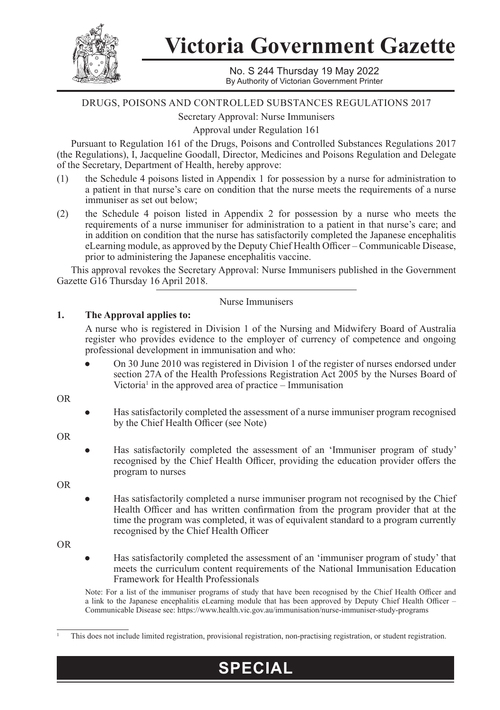

**Victoria Government Gazette**

No. S 244 Thursday 19 May 2022 By Authority of Victorian Government Printer

# DRUGS, POISONS AND CONTROLLED SUBSTANCES REGULATIONS 2017

Secretary Approval: Nurse Immunisers

Approval under Regulation 161

Pursuant to Regulation 161 of the Drugs, Poisons and Controlled Substances Regulations 2017 (the Regulations), I, Jacqueline Goodall, Director, Medicines and Poisons Regulation and Delegate of the Secretary, Department of Health, hereby approve:

- (1) the Schedule 4 poisons listed in Appendix 1 for possession by a nurse for administration to a patient in that nurse's care on condition that the nurse meets the requirements of a nurse immuniser as set out below;
- (2) the Schedule 4 poison listed in Appendix 2 for possession by a nurse who meets the requirements of a nurse immuniser for administration to a patient in that nurse's care; and in addition on condition that the nurse has satisfactorily completed the Japanese encephalitis eLearning module, as approved by the Deputy Chief Health Officer – Communicable Disease, prior to administering the Japanese encephalitis vaccine.

This approval revokes the Secretary Approval: Nurse Immunisers published in the Government Gazette G16 Thursday 16 April 2018.

#### Nurse Immunisers

# **1. The Approval applies to:**

A nurse who is registered in Division 1 of the Nursing and Midwifery Board of Australia register who provides evidence to the employer of currency of competence and ongoing professional development in immunisation and who:

On 30 June 2010 was registered in Division 1 of the register of nurses endorsed under section 27A of the Health Professions Registration Act 2005 by the Nurses Board of Victoria<sup>1</sup> in the approved area of practice – Immunisation

OR

Has satisfactorily completed the assessment of a nurse immuniser program recognised by the Chief Health Officer (see Note)

OR

Has satisfactorily completed the assessment of an 'Immuniser program of study' recognised by the Chief Health Officer, providing the education provider offers the program to nurses

OR

Has satisfactorily completed a nurse immuniser program not recognised by the Chief Health Officer and has written confirmation from the program provider that at the time the program was completed, it was of equivalent standard to a program currently recognised by the Chief Health Officer

OR

Has satisfactorily completed the assessment of an 'immuniser program of study' that meets the curriculum content requirements of the National Immunisation Education Framework for Health Professionals

Note: For a list of the immuniser programs of study that have been recognised by the Chief Health Officer and a link to the Japanese encephalitis eLearning module that has been approved by Deputy Chief Health Officer – Communicable Disease see: https://www.health.vic.gov.au/immunisation/nurse-immuniser-study-programs

**SPECIAL**

<sup>1</sup> This does not include limited registration, provisional registration, non-practising registration, or student registration.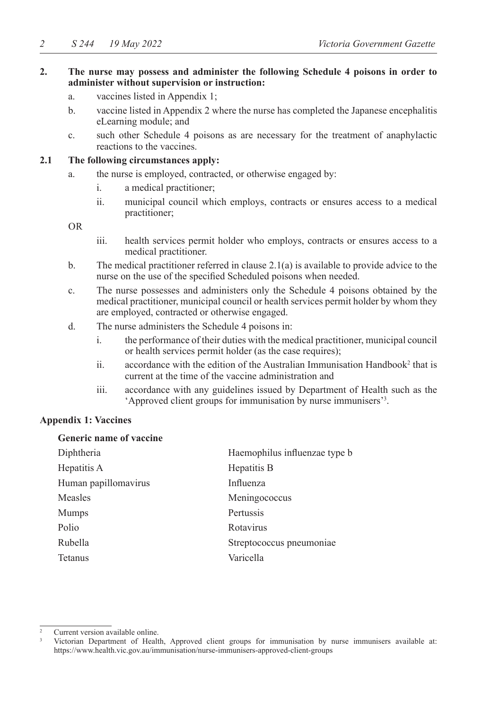## **2. The nurse may possess and administer the following Schedule 4 poisons in order to administer without supervision or instruction:**

- a. vaccines listed in Appendix 1;
- b. vaccine listed in Appendix 2 where the nurse has completed the Japanese encephalitis eLearning module; and
- c. such other Schedule 4 poisons as are necessary for the treatment of anaphylactic reactions to the vaccines.

# **2.1 The following circumstances apply:**

- a. the nurse is employed, contracted, or otherwise engaged by:
	- i. a medical practitioner;
	- ii. municipal council which employs, contracts or ensures access to a medical practitioner;

OR

- iii. health services permit holder who employs, contracts or ensures access to a medical practitioner.
- b. The medical practitioner referred in clause 2.1(a) is available to provide advice to the nurse on the use of the specified Scheduled poisons when needed.
- c. The nurse possesses and administers only the Schedule 4 poisons obtained by the medical practitioner, municipal council or health services permit holder by whom they are employed, contracted or otherwise engaged.
- d. The nurse administers the Schedule 4 poisons in:
	- i. the performance of their duties with the medical practitioner, municipal council or health services permit holder (as the case requires);
	- ii.  $\alpha$  accordance with the edition of the Australian Immunisation Handbook<sup>2</sup> that is current at the time of the vaccine administration and
	- iii. accordance with any guidelines issued by Department of Health such as the 'Approved client groups for immunisation by nurse immunisers'3 .

#### **Appendix 1: Vaccines**

#### **Generic name of vaccine**

| Diphtheria           | Haemophilus influenzae type b |
|----------------------|-------------------------------|
| Hepatitis A          | Hepatitis B                   |
| Human papillomavirus | Influenza                     |
| Measles              | Meningococcus                 |
| <b>Mumps</b>         | Pertussis                     |
| Polio                | Rotavirus                     |
| Rubella              | Streptococcus pneumoniae      |
| <b>Tetanus</b>       | Varicella                     |

Current version available online.

<sup>3</sup> Victorian Department of Health, Approved client groups for immunisation by nurse immunisers available at: https://www.health.vic.gov.au/immunisation/nurse-immunisers-approved-client-groups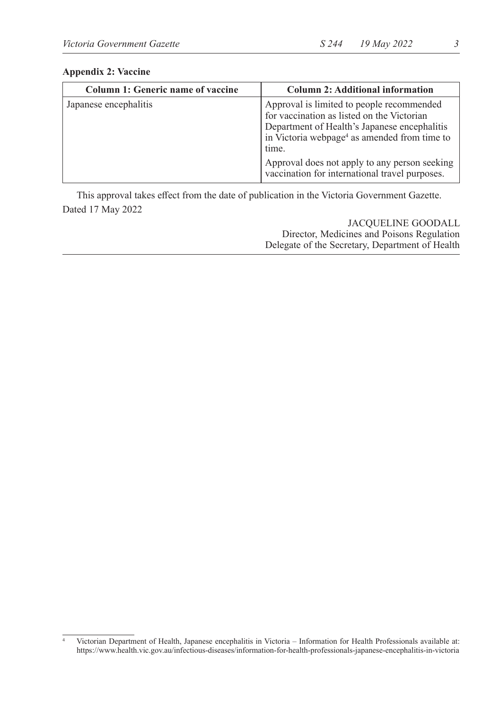| <b>Column 1: Generic name of vaccine</b> | <b>Column 2: Additional information</b>                                                                                                                                                                      |
|------------------------------------------|--------------------------------------------------------------------------------------------------------------------------------------------------------------------------------------------------------------|
| Japanese encephalitis                    | Approval is limited to people recommended<br>for vaccination as listed on the Victorian<br>Department of Health's Japanese encephalitis<br>in Victoria webpage <sup>4</sup> as amended from time to<br>time. |
|                                          | Approval does not apply to any person seeking<br>vaccination for international travel purposes.                                                                                                              |

#### **Appendix 2: Vaccine**

This approval takes effect from the date of publication in the Victoria Government Gazette. Dated 17 May 2022

# JACQUELINE GOODALL Director, Medicines and Poisons Regulation Delegate of the Secretary, Department of Health

<sup>4</sup> Victorian Department of Health, Japanese encephalitis in Victoria – Information for Health Professionals available at: https://www.health.vic.gov.au/infectious-diseases/information-for-health-professionals-japanese-encephalitis-in-victoria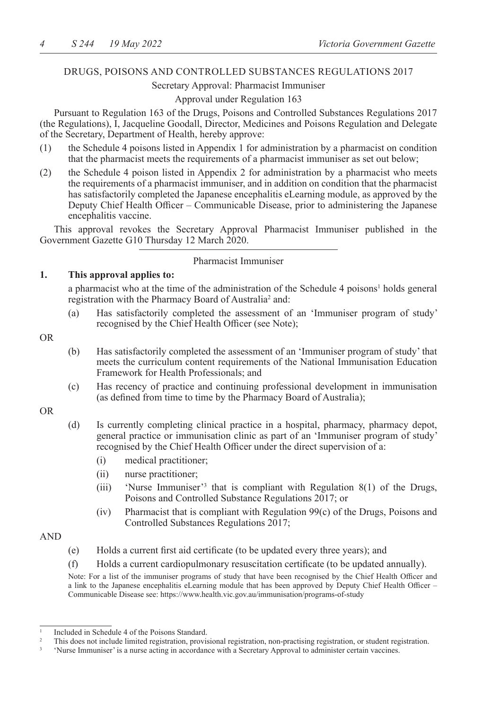# DRUGS, POISONS AND CONTROLLED SUBSTANCES REGULATIONS 2017

# Secretary Approval: Pharmacist Immuniser

# Approval under Regulation 163

Pursuant to Regulation 163 of the Drugs, Poisons and Controlled Substances Regulations 2017 (the Regulations), I, Jacqueline Goodall, Director, Medicines and Poisons Regulation and Delegate of the Secretary, Department of Health, hereby approve:

- (1) the Schedule 4 poisons listed in Appendix 1 for administration by a pharmacist on condition that the pharmacist meets the requirements of a pharmacist immuniser as set out below;
- (2) the Schedule 4 poison listed in Appendix 2 for administration by a pharmacist who meets the requirements of a pharmacist immuniser, and in addition on condition that the pharmacist has satisfactorily completed the Japanese encephalitis eLearning module, as approved by the Deputy Chief Health Officer – Communicable Disease, prior to administering the Japanese encephalitis vaccine.

This approval revokes the Secretary Approval Pharmacist Immuniser published in the Government Gazette G10 Thursday 12 March 2020.

#### Pharmacist Immuniser

#### **1. This approval applies to:**

a pharmacist who at the time of the administration of the Schedule 4 poisons<sup>1</sup> holds general registration with the Pharmacy Board of Australia<sup>2</sup> and:

(a) Has satisfactorily completed the assessment of an 'Immuniser program of study' recognised by the Chief Health Officer (see Note);

#### OR

- (b) Has satisfactorily completed the assessment of an 'Immuniser program of study' that meets the curriculum content requirements of the National Immunisation Education Framework for Health Professionals; and
- (c) Has recency of practice and continuing professional development in immunisation (as defined from time to time by the Pharmacy Board of Australia);

#### OR

- (d) Is currently completing clinical practice in a hospital, pharmacy, pharmacy depot, general practice or immunisation clinic as part of an 'Immuniser program of study' recognised by the Chief Health Officer under the direct supervision of a:
	- (i) medical practitioner;
	- (ii) nurse practitioner;
	- (iii) 'Nurse Immuniser'<sup>3</sup> that is compliant with Regulation 8(1) of the Drugs, Poisons and Controlled Substance Regulations 2017; or
	- (iv) Pharmacist that is compliant with Regulation 99(c) of the Drugs, Poisons and Controlled Substances Regulations 2017;

#### AND

- (e) Holds a current first aid certificate (to be updated every three years); and
- (f) Holds a current cardiopulmonary resuscitation certificate (to be updated annually).

Note: For a list of the immuniser programs of study that have been recognised by the Chief Health Officer and a link to the Japanese encephalitis eLearning module that has been approved by Deputy Chief Health Officer – Communicable Disease see: https://www.health.vic.gov.au/immunisation/programs-of-study

<sup>&</sup>lt;sup>1</sup> Included in Schedule 4 of the Poisons Standard.

<sup>2</sup> This does not include limited registration, provisional registration, non-practising registration, or student registration.

<sup>3</sup> 'Nurse Immuniser' is a nurse acting in accordance with a Secretary Approval to administer certain vaccines.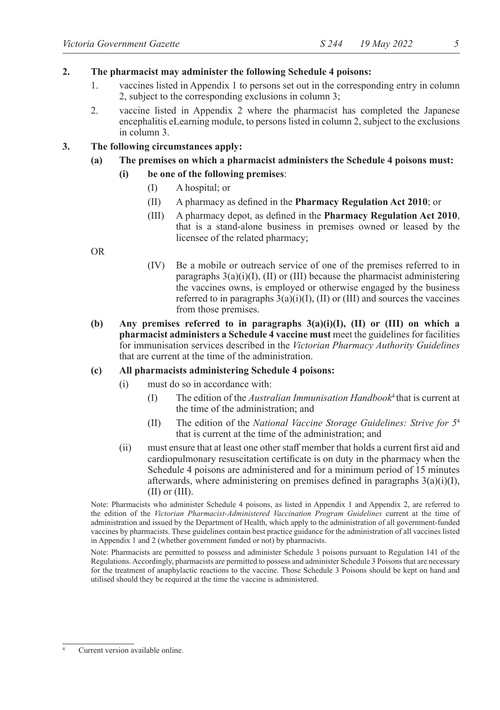#### **2. The pharmacist may administer the following Schedule 4 poisons:**

- 1. vaccines listed in Appendix 1 to persons set out in the corresponding entry in column 2, subject to the corresponding exclusions in column 3;
- 2. vaccine listed in Appendix 2 where the pharmacist has completed the Japanese encephalitis eLearning module, to persons listed in column 2, subject to the exclusions in column 3.

## **3. The following circumstances apply:**

# **(a) The premises on which a pharmacist administers the Schedule 4 poisons must:**

- **(i) be one of the following premises**:
	- (I) A hospital; or
	- (II) A pharmacy as defined in the **Pharmacy Regulation Act 2010**; or
	- (III) A pharmacy depot, as defined in the **Pharmacy Regulation Act 2010**, that is a stand-alone business in premises owned or leased by the licensee of the related pharmacy;

OR

- (IV) Be a mobile or outreach service of one of the premises referred to in paragraphs  $3(a)(i)(I)$ , (II) or (III) because the pharmacist administering the vaccines owns, is employed or otherwise engaged by the business referred to in paragraphs  $3(a)(i)(I)$ ,  $(II)$  or  $(III)$  and sources the vaccines from those premises.
- **(b) Any premises referred to in paragraphs 3(a)(i)(I), (II) or (III) on which a pharmacist administers a Schedule 4 vaccine must** meet the guidelines for facilities for immunisation services described in the *Victorian Pharmacy Authority Guidelines*  that are current at the time of the administration.

#### **(c) All pharmacists administering Schedule 4 poisons:**

- (i) must do so in accordance with:
	- (I) The edition of the *Australian Immunisation Handbook*<sup>4</sup> that is current at the time of the administration; and
	- (II) The edition of the *National Vaccine Storage Guidelines: Strive for 5*<sup>4</sup> that is current at the time of the administration; and
- (ii) must ensure that at least one other staff member that holds a current first aid and cardiopulmonary resuscitation certificate is on duty in the pharmacy when the Schedule 4 poisons are administered and for a minimum period of 15 minutes afterwards, where administering on premises defined in paragraphs  $3(a)(i)(I)$ ,  $(II)$  or  $(III)$ .

Note: Pharmacists who administer Schedule 4 poisons, as listed in Appendix 1 and Appendix 2, are referred to the edition of the *Victorian Pharmacist-Administered Vaccination Program Guidelines* current at the time of administration and issued by the Department of Health, which apply to the administration of all government-funded vaccines by pharmacists. These guidelines contain best practice guidance for the administration of all vaccines listed in Appendix 1 and 2 (whether government funded or not) by pharmacists.

Note: Pharmacists are permitted to possess and administer Schedule 3 poisons pursuant to Regulation 141 of the Regulations. Accordingly, pharmacists are permitted to possess and administer Schedule 3 Poisons that are necessary for the treatment of anaphylactic reactions to the vaccine. Those Schedule 3 Poisons should be kept on hand and utilised should they be required at the time the vaccine is administered.

Current version available online.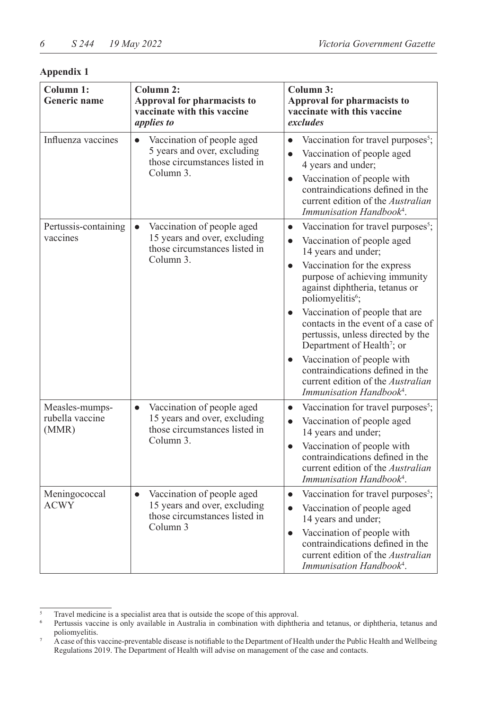# **Appendix 1**

| Column 1:<br><b>Generic name</b>           | Column 2:<br>Approval for pharmacists to<br>vaccinate with this vaccine<br>applies to                                 | Column 3:<br>Approval for pharmacists to<br>vaccinate with this vaccine<br>excludes                                                                                                                                                                                                                                                                                                                                                                                                                                                                      |  |
|--------------------------------------------|-----------------------------------------------------------------------------------------------------------------------|----------------------------------------------------------------------------------------------------------------------------------------------------------------------------------------------------------------------------------------------------------------------------------------------------------------------------------------------------------------------------------------------------------------------------------------------------------------------------------------------------------------------------------------------------------|--|
| Influenza vaccines                         | Vaccination of people aged<br>$\bullet$<br>5 years and over, excluding<br>those circumstances listed in<br>Column 3.  | Vaccination for travel purposes <sup>5</sup> ;<br>$\bullet$<br>Vaccination of people aged<br>4 years and under;<br>Vaccination of people with<br>contraindications defined in the<br>current edition of the Australian<br>Immunisation Handbook <sup>4</sup> .                                                                                                                                                                                                                                                                                           |  |
| Pertussis-containing<br>vaccines           | Vaccination of people aged<br>15 years and over, excluding<br>those circumstances listed in<br>Column 3.              | Vaccination for travel purposes <sup>5</sup> ;<br>$\bullet$<br>Vaccination of people aged<br>14 years and under;<br>Vaccination for the express<br>purpose of achieving immunity<br>against diphtheria, tetanus or<br>poliomyelitis <sup>6</sup> ;<br>Vaccination of people that are<br>contacts in the event of a case of<br>pertussis, unless directed by the<br>Department of Health <sup>7</sup> ; or<br>Vaccination of people with<br>contraindications defined in the<br>current edition of the Australian<br>Immunisation Handbook <sup>4</sup> . |  |
| Measles-mumps-<br>rubella vaccine<br>(MMR) | Vaccination of people aged<br>$\bullet$<br>15 years and over, excluding<br>those circumstances listed in<br>Column 3. | Vaccination for travel purposes <sup>5</sup> ;<br>$\bullet$<br>Vaccination of people aged<br>$\bullet$<br>14 years and under;<br>Vaccination of people with<br>$\bullet$<br>contraindications defined in the<br>current edition of the Australian<br>Immunisation Handbook <sup>4</sup> .                                                                                                                                                                                                                                                                |  |
| Meningococcal<br>$\rm{ACWY}$               | Vaccination of people aged<br>$\bullet$<br>15 years and over, excluding<br>those circumstances listed in<br>Column 3  | Vaccination for travel purposes <sup>5</sup> ;<br>$\bullet$<br>Vaccination of people aged<br>$\bullet$<br>14 years and under;<br>Vaccination of people with<br>$\bullet$<br>contraindications defined in the<br>current edition of the Australian<br>Immunisation Handbook <sup>4</sup> .                                                                                                                                                                                                                                                                |  |

<sup>5</sup> Travel medicine is a specialist area that is outside the scope of this approval.

Pertussis vaccine is only available in Australia in combination with diphtheria and tetanus, or diphtheria, tetanus and poliomyelitis.

<sup>7</sup> A case of this vaccine-preventable disease is notifiable to the Department of Health under the Public Health and Wellbeing Regulations 2019. The Department of Health will advise on management of the case and contacts.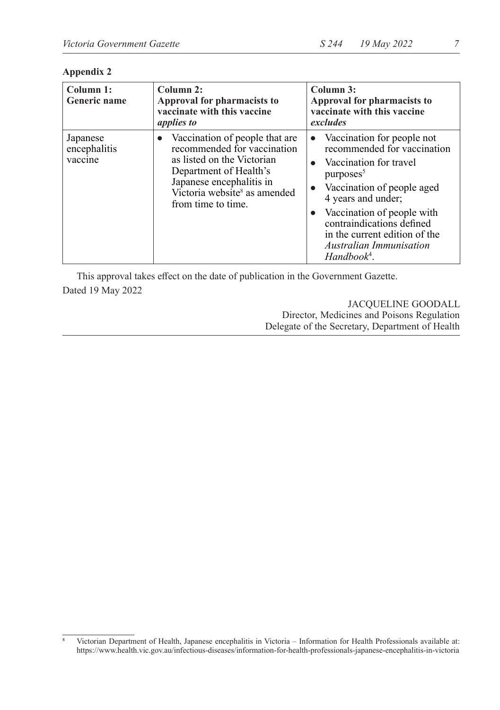# **Appendix 2**

| Column 1:<br><b>Generic name</b>    | Column 2:<br>Approval for pharmacists to<br>vaccinate with this vaccine<br><i>applies to</i>                                                                                                                        | Column 3:<br>Approval for pharmacists to<br>vaccinate with this vaccine<br>excludes                                                                                                                                                                                                                                 |
|-------------------------------------|---------------------------------------------------------------------------------------------------------------------------------------------------------------------------------------------------------------------|---------------------------------------------------------------------------------------------------------------------------------------------------------------------------------------------------------------------------------------------------------------------------------------------------------------------|
| Japanese<br>encephalitis<br>vaccine | Vaccination of people that are<br>recommended for vaccination<br>as listed on the Victorian<br>Department of Health's<br>Japanese encephalitis in<br>Victoria website <sup>8</sup> as amended<br>from time to time. | • Vaccination for people not<br>recommended for vaccination<br>• Vaccination for travel<br>purposes <sup>5</sup><br>Vaccination of people aged<br>4 years and under;<br>Vaccination of people with<br>contraindications defined<br>in the current edition of the<br><b>Australian Immunisation</b><br>$Handbook4$ . |

This approval takes effect on the date of publication in the Government Gazette. Dated 19 May 2022

> JACQUELINE GOODALL Director, Medicines and Poisons Regulation Delegate of the Secretary, Department of Health

<sup>8</sup> Victorian Department of Health, Japanese encephalitis in Victoria – Information for Health Professionals available at: https://www.health.vic.gov.au/infectious-diseases/information-for-health-professionals-japanese-encephalitis-in-victoria